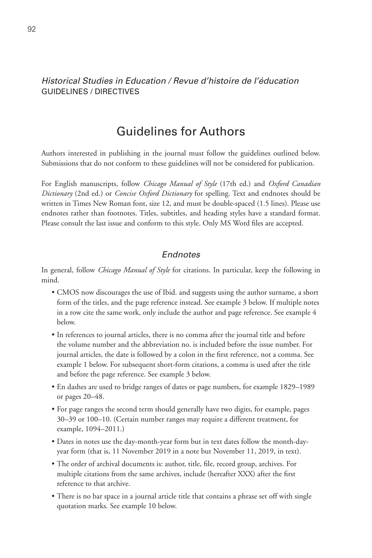#### *Historical Studies in Education / Revue d'histoire de l'éducation* GUIDELINES / DIRECTIVES

# Guidelines for Authors

Authors interested in publishing in the journal must follow the guidelines outlined below. Submissions that do not conform to these guidelines will not be considered for publication.

For English manuscripts, follow *Chicago Manual of Style* (17th ed.) and *Oxford Canadian Dictionary* (2nd ed.) or *Concise Oxford Dictionary* for spelling. Text and endnotes should be written in Times New Roman font, size 12, and must be double-spaced (1.5 lines). Please use endnotes rather than footnotes. Titles, subtitles, and heading styles have a standard format. Please consult the last issue and conform to this style. Only MS Word files are accepted.

#### *Endnotes*

In general, follow *Chicago Manual of Style* for citations. In particular, keep the following in mind.

- CMOS now discourages the use of Ibid. and suggests using the author surname, a short form of the titles, and the page reference instead. See example 3 below. If multiple notes in a row cite the same work, only include the author and page reference. See example 4 below.
- In references to journal articles, there is no comma after the journal title and before the volume number and the abbreviation no. is included before the issue number. For journal articles, the date is followed by a colon in the first reference, not a comma. See example 1 below. For subsequent short-form citations, a comma is used after the title and before the page reference. See example 3 below.
- • En dashes are used to bridge ranges of dates or page numbers, for example 1829–1989 or pages 20–48.
- For page ranges the second term should generally have two digits, for example, pages 30–39 or 100–10. (Certain number ranges may require a different treatment, for example, 1094–2011.)
- • Dates in notes use the day-month-year form but in text dates follow the month-dayyear form (that is, 11 November 2019 in a note but November 11, 2019, in text).
- The order of archival documents is: author, title, file, record group, archives. For multiple citations from the same archives, include (hereafter XXX) after the first reference to that archive.
- There is no bar space in a journal article title that contains a phrase set off with single quotation marks. See example 10 below.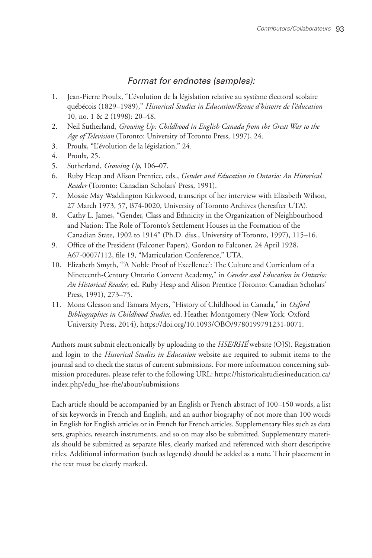#### *Format for endnotes (samples):*

- 1. Jean-Pierre Proulx, "L'évolution de la législation relative au système électoral scolaire québécois (1829–1989)," *Historical Studies in Education/Revue d'histoire de l'éducation*  10, no. 1 & 2 (1998): 20–48.
- 2. Neil Sutherland, *Growing Up: Childhood in English Canada from the Great War to the Age of Television* (Toronto: University of Toronto Press, 1997), 24.
- 3. Proulx, "L'évolution de la législation," 24.
- 4. Proulx, 25.
- 5. Sutherland, *Growing Up*, 106–07.
- 6. Ruby Heap and Alison Prentice, eds., *Gender and Education in Ontario: An Historical Reader* (Toronto: Canadian Scholars' Press, 1991).
- 7. Mossie May Waddington Kirkwood, transcript of her interview with Elizabeth Wilson, 27 March 1973, 57, B74-0020, University of Toronto Archives (hereafter UTA).
- 8. Cathy L. James, "Gender, Class and Ethnicity in the Organization of Neighbourhood and Nation: The Role of Toronto's Settlement Houses in the Formation of the Canadian State, 1902 to 1914" (Ph.D. diss., University of Toronto, 1997), 115–16.
- 9. Office of the President (Falconer Papers), Gordon to Falconer, 24 April 1928, A67-0007/112, file 19, "Matriculation Conference," UTA.
- 10. Elizabeth Smyth, "'A Noble Proof of Excellence': The Culture and Curriculum of a Nineteenth-Century Ontario Convent Academy," in *Gender and Education in Ontario: An Historical Reader*, ed. Ruby Heap and Alison Prentice (Toronto: Canadian Scholars' Press, 1991), 273–75.
- 11. Mona Gleason and Tamara Myers, "History of Childhood in Canada," in *Oxford Bibliographies in Childhood Studies,* ed. Heather Montgomery (New York: Oxford University Press, 2014), https://doi.org/10.1093/OBO/9780199791231-0071.

Authors must submit electronically by uploading to the *HSE/RHÉ* website (OJS). Registration and login to the *Historical Studies in Education* website are required to submit items to the journal and to check the status of current submissions. For more information concerning submission procedures, please refer to the following URL: https://historicalstudiesineducation.ca/ index.php/edu\_hse-rhe/about/submissions

Each article should be accompanied by an English or French abstract of 100–150 words, a list of six keywords in French and English, and an author biography of not more than 100 words in English for English articles or in French for French articles. Supplementary files such as data sets, graphics, research instruments, and so on may also be submitted. Supplementary materials should be submitted as separate files, clearly marked and referenced with short descriptive titles. Additional information (such as legends) should be added as a note. Their placement in the text must be clearly marked.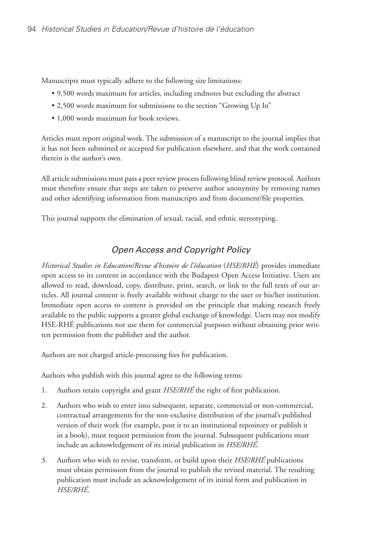Manuscripts must typically adhere to the following size limitations:

- • 9,500 words maximum for articles, including endnotes but excluding the abstract
- • 2,500 words maximum for submissions to the section "Growing Up In"
- 1,000 words maximum for book reviews.

Articles must report original work. The submission of a manuscript to the journal implies that it has not been submitted or accepted for publication elsewhere, and that the work contained therein is the author's own.

All article submissions must pass a peer review process following blind review protocol. Authors must therefore ensure that steps are taken to preserve author anonymity by removing names and other identifying information from manuscripts and from document/file properties.

This journal supports the elimination of sexual, racial, and ethnic stereotyping.

# *Open Access and Copyright Policy*

*Historical Studies in Education/Revue d'histoire de l'éducation* (*HSE/RHÉ*) provides immediate open access to its content in accordance with the Budapest Open Access Initiative. Users are allowed to read, download, copy, distribute, print, search, or link to the full texts of our articles. All journal content is freely available without charge to the user or his/her institution. Immediate open access to content is provided on the principle that making research freely available to the public supports a greater global exchange of knowledge. Users may not modify HSE-RHÉ publications nor use them for commercial purposes without obtaining prior written permission from the publisher and the author.

Authors are not charged article-processing fees for publication.

Authors who publish with this journal agree to the following terms:

- 1. Authors retain copyright and grant *HSE/RHÉ* the right of first publication.
- 2. Authors who wish to enter into subsequent, separate, commercial or non-commercial, contractual arrangements for the non-exclusive distribution of the journal's published version of their work (for example, post it to an institutional repository or publish it in a book), must request permission from the journal. Subsequent publications must include an acknowledgement of its initial publication in *HSE/RHÉ*.
- 3. Authors who wish to revise, transform, or build upon their *HSE/RHÉ* publications must obtain permission from the journal to publish the revised material. The resulting publication must include an acknowledgement of its initial form and publication in *HSE/RHÉ*.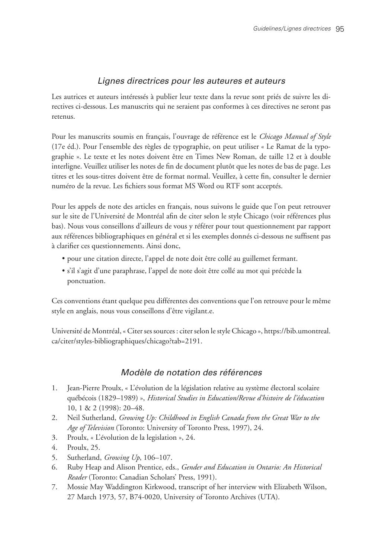### *Lignes directrices pour les auteures et auteurs*

Les autrices et auteurs intéressés à publier leur texte dans la revue sont priés de suivre les directives ci-dessous. Les manuscrits qui ne seraient pas conformes à ces directives ne seront pas retenus.

Pour les manuscrits soumis en français, l'ouvrage de référence est le *Chicago Manual of Style*  (17e éd.). Pour l'ensemble des règles de typographie, on peut utiliser « Le Ramat de la typographie ». Le texte et les notes doivent être en Times New Roman, de taille 12 et à double interligne. Veuillez utiliser les notes de fin de document plutôt que les notes de bas de page. Les titres et les sous-titres doivent être de format normal. Veuillez, à cette fin, consulter le dernier numéro de la revue. Les fichiers sous format MS Word ou RTF sont acceptés.

Pour les appels de note des articles en français, nous suivons le guide que l'on peut retrouver sur le site de l'Université de Montréal afin de citer selon le style Chicago (voir références plus bas). Nous vous conseillons d'ailleurs de vous y référer pour tout questionnement par rapport aux références bibliographiques en général et si les exemples donnés ci-dessous ne suffisent pas à clarifier ces questionnements. Ainsi donc,

- • pour une citation directe, l'appel de note doit être collé au guillemet fermant.
- • s'il s'agit d'une paraphrase, l'appel de note doit être collé au mot qui précède la ponctuation.

Ces conventions étant quelque peu différentes des conventions que l'on retrouve pour le même style en anglais, nous vous conseillons d'être vigilant.e.

Université de Montréal, « Citer ses sources : citer selon le style Chicago », https://bib.umontreal. ca/citer/styles-bibliographiques/chicago?tab=2191.

# *Modèle de notation des références*

- 1. Jean-Pierre Proulx, « L'évolution de la législation relative au système électoral scolaire québécois (1829–1989) », *Historical Studies in Education/Revue d'histoire de l'éducation*  10, 1 & 2 (1998): 20–48.
- 2. Neil Sutherland, *Growing Up: Childhood in English Canada from the Great War to the Age of Television* (Toronto: University of Toronto Press, 1997), 24.
- 3. Proulx, « L'évolution de la legislation », 24.
- 4. Proulx, 25.
- 5. Sutherland, *Growing Up*, 106–107.
- 6. Ruby Heap and Alison Prentice, eds., *Gender and Education in Ontario: An Historical Reader* (Toronto: Canadian Scholars' Press, 1991).
- 7. Mossie May Waddington Kirkwood, transcript of her interview with Elizabeth Wilson, 27 March 1973, 57, B74-0020, University of Toronto Archives (UTA).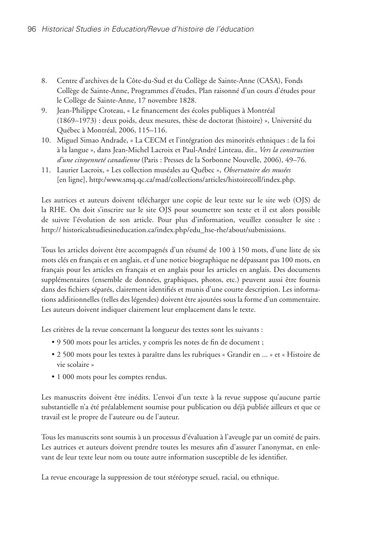- 8. Centre d'archives de la Côte-du-Sud et du Collège de Sainte-Anne (CASA), Fonds Collège de Sainte-Anne, Programmes d'études, Plan raisonné d'un cours d'études pour le Collège de Sainte-Anne, 17 novembre 1828.
- 9. Jean-Philippe Croteau, « Le financement des écoles publiques à Montréal (1869–1973) : deux poids, deux mesures, thèse de doctorat (histoire) », Université du Québec à Montréal, 2006, 115–116.
- 10. Miguel Simao Andrade, « La CECM et l'intégration des minorités ethniques : de la foi à la langue », dans Jean-Michel Lacroix et Paul-André Linteau, dir., *Vers la construction d'une citoyenneté canadienne* (Paris : Presses de la Sorbonne Nouvelle, 2006), 49–76.
- 11. Laurier Lacroix, « Les collection muséales au Québec », *Observatoire des musées*  [en ligne], http:/www.smq.qc.ca/mad/collections/articles/histoirecoll/index.php.

Les autrices et auteurs doivent télécharger une copie de leur texte sur le site web (OJS) de la RHE. On doit s'inscrire sur le site OJS pour soumettre son texte et il est alors possible de suivre l'évolution de son article. Pour plus d'information, veuillez consulter le site : http:// historicalstudiesineducation.ca/index.php/edu\_hse-rhe/about/submissions.

Tous les articles doivent être accompagnés d'un résumé de 100 à 150 mots, d'une liste de six mots clés en français et en anglais, et d'une notice biographique ne dépassant pas 100 mots, en français pour les articles en français et en anglais pour les articles en anglais. Des documents supplémentaires (ensemble de données, graphiques, photos, etc.) peuvent aussi être fournis dans des fichiers séparés, clairement identifiés et munis d'une courte description. Les informations additionnelles (telles des légendes) doivent être ajoutées sous la forme d'un commentaire. Les auteurs doivent indiquer clairement leur emplacement dans le texte.

Les critères de la revue concernant la longueur des textes sont les suivants :

- • 9 500 mots pour les articles, y compris les notes de fin de document ;
- • 2 500 mots pour les textes à paraître dans les rubriques « Grandir en ... » et « Histoire de vie scolaire »
- 1 000 mots pour les comptes rendus.

Les manuscrits doivent être inédits. L'envoi d'un texte à la revue suppose qu'aucune partie substantielle n'a été préalablement soumise pour publication ou déjà publiée ailleurs et que ce travail est le propre de l'auteure ou de l'auteur.

Tous les manuscrits sont soumis à un processus d'évaluation à l'aveugle par un comité de pairs. Les autrices et auteurs doivent prendre toutes les mesures afin d'assurer l'anonymat, en enlevant de leur texte leur nom ou toute autre information susceptible de les identifier.

La revue encourage la suppression de tout stéréotype sexuel, racial, ou ethnique.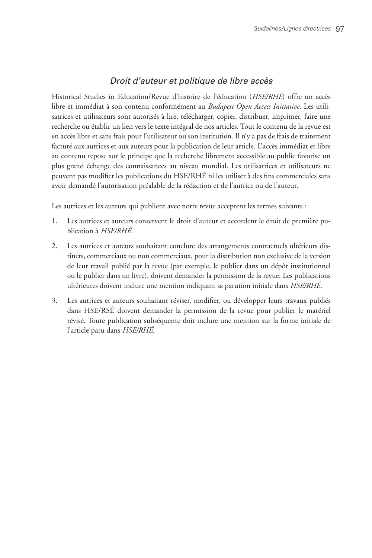# *Droit d'auteur et politique de libre accès*

Historical Studies in Education/Revue d'histoire de l'éducation (*HSE/RHÉ*) offre un accès libre et immédiat à son contenu conformément au *Budapest Open Access Initiative.* Les utilisatrices et utilisateurs sont autorisés à lire, télécharger, copier, distribuer, imprimer, faire une recherche ou établir un lien vers le texte intégral de nos articles. Tout le contenu de la revue est en accès libre et sans frais pour l'utilisateur ou son institution. Il n'y a pas de frais de traitement facturé aux autrices et aux auteurs pour la publication de leur article. L'accès immédiat et libre au contenu repose sur le principe que la recherche librement accessible au public favorise un plus grand échange des connaissances au niveau mondial. Les utilisatrices et utilisateurs ne peuvent pas modifier les publications du HSE/RHÉ ni les utiliser à des fins commerciales sans avoir demandé l'autorisation préalable de la rédaction et de l'autrice ou de l'auteur.

Les autrices et les auteurs qui publient avec notre revue acceptent les termes suivants :

- 1. Les autrices et auteurs conservent le droit d'auteur et accordent le droit de première publication à *HSE/RHÉ*.
- 2. Les autrices et auteurs souhaitant conclure des arrangements contractuels ultérieurs distincts, commerciaux ou non commerciaux, pour la distribution non exclusive de la version de leur travail publié par la revue (par exemple, le publier dans un dépôt institutionnel ou le publier dans un livre), doivent demander la permission de la revue. Les publications ultérieures doivent inclure une mention indiquant sa parution initiale dans *HSE/RHÉ*.
- 3. Les autrices et auteurs souhaitant réviser, modifier, ou développer leurs travaux publiés dans HSE/RSÉ doivent demander la permission de la revue pour publier le matériel révisé. Toute publication subséquente doit inclure une mention sur la forme initiale de l'article paru dans *HSE/RHÉ*.